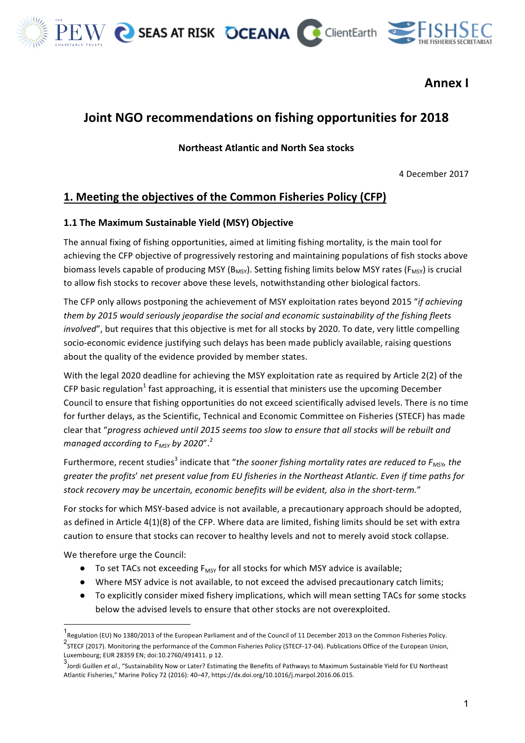

**Annex I**

# **Joint NGO recommendations on fishing opportunities for 2018**

**Northeast Atlantic and North Sea stocks**

4 December 2017

# **1. Meeting the objectives of the Common Fisheries Policy (CFP)**

#### **1.1 The Maximum Sustainable Yield (MSY) Objective**

The annual fixing of fishing opportunities, aimed at limiting fishing mortality, is the main tool for achieving the CFP objective of progressively restoring and maintaining populations of fish stocks above biomass levels capable of producing MSY ( $B_{MSV}$ ). Setting fishing limits below MSY rates ( $F_{MSV}$ ) is crucial to allow fish stocks to recover above these levels, notwithstanding other biological factors.

The CFP only allows postponing the achievement of MSY exploitation rates beyond 2015 "*if achieving* them by 2015 would seriously jeopardise the social and economic sustainability of the fishing fleets *involved"*, but requires that this objective is met for all stocks by 2020. To date, very little compelling socio-economic evidence justifying such delays has been made publicly available, raising questions about the quality of the evidence provided by member states.

With the legal 2020 deadline for achieving the MSY exploitation rate as required by Article 2(2) of the CFP basic regulation<sup>1</sup> fast approaching, it is essential that ministers use the upcoming December Council to ensure that fishing opportunities do not exceed scientifically advised levels. There is no time for further delays, as the Scientific, Technical and Economic Committee on Fisheries (STECF) has made clear that "progress achieved until 2015 seems too slow to ensure that all stocks will be rebuilt and *managed according to F<sub>MSY</sub> by 2020"*.<sup>2</sup>

Furthermore, recent studies<sup>3</sup> indicate that "*the sooner fishing mortality rates are reduced to*  $F_{MSV}$  the *greater the profits' net present value from EU fisheries in the Northeast Atlantic. Even if time paths for* stock recovery may be uncertain, economic benefits will be evident, also in the short-term."

For stocks for which MSY-based advice is not available, a precautionary approach should be adopted, as defined in Article  $4(1)(8)$  of the CFP. Where data are limited, fishing limits should be set with extra caution to ensure that stocks can recover to healthy levels and not to merely avoid stock collapse.

We therefore urge the Council:

- To set TACs not exceeding  $F_{MSY}$  for all stocks for which MSY advice is available;
- Where MSY advice is not available, to not exceed the advised precautionary catch limits;
- To explicitly consider mixed fishery implications, which will mean setting TACs for some stocks below the advised levels to ensure that other stocks are not overexploited.

<sup>1&</sup>lt;br>1<br>Regulation (EU) No 1380/2013 of the European Parliament and of the Council of 11 December 2013 on the Common Fisheries Policy. 2<br><sup>2</sup>STECF (2017). Monitoring the performance of the Common Fisheries Policy (STECF-17-04). Publications Office of the European Union, Luxembourg; EUR 28359 EN; doi:10.2760/491411. p 12.

<sup>3&</sup>lt;br>Jordi Guillen *et al., "*Sustainability Now or Later? Estimating the Benefits of Pathways to Maximum Sustainable Yield for EU Northeast Atlantic Fisheries," Marine Policy 72 (2016): 40-47, https://dx.doi.org/10.1016/j.marpol.2016.06.015.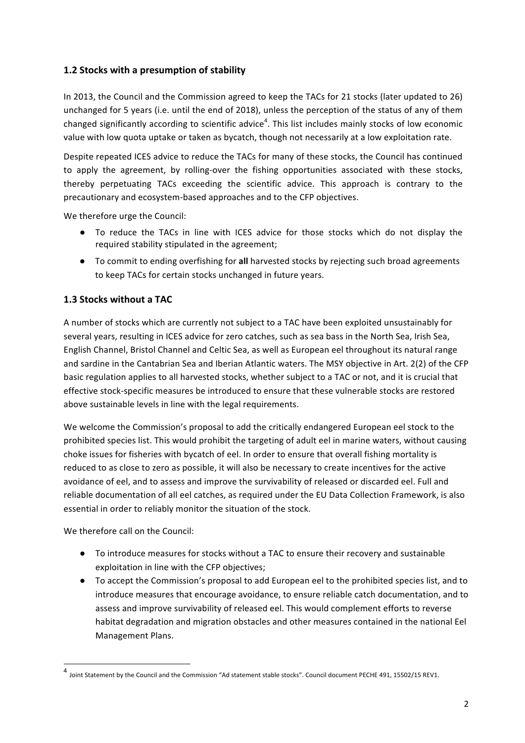### **1.2 Stocks with a presumption of stability**

In 2013, the Council and the Commission agreed to keep the TACs for 21 stocks (later updated to 26) unchanged for 5 years (i.e. until the end of 2018), unless the perception of the status of any of them changed significantly according to scientific advice<sup>4</sup>. This list includes mainly stocks of low economic value with low quota uptake or taken as bycatch, though not necessarily at a low exploitation rate.

Despite repeated ICES advice to reduce the TACs for many of these stocks, the Council has continued to apply the agreement, by rolling-over the fishing opportunities associated with these stocks, thereby perpetuating TACs exceeding the scientific advice. This approach is contrary to the precautionary and ecosystem-based approaches and to the CFP objectives.

We therefore urge the Council:

- To reduce the TACs in line with ICES advice for those stocks which do not display the required stability stipulated in the agreement;
- To commit to ending overfishing for all harvested stocks by rejecting such broad agreements to keep TACs for certain stocks unchanged in future years.

## **1.3 Stocks without a TAC**

A number of stocks which are currently not subject to a TAC have been exploited unsustainably for several years, resulting in ICES advice for zero catches, such as sea bass in the North Sea, Irish Sea, English Channel, Bristol Channel and Celtic Sea, as well as European eel throughout its natural range and sardine in the Cantabrian Sea and Iberian Atlantic waters. The MSY objective in Art. 2(2) of the CFP basic regulation applies to all harvested stocks, whether subject to a TAC or not, and it is crucial that effective stock-specific measures be introduced to ensure that these vulnerable stocks are restored above sustainable levels in line with the legal requirements.

We welcome the Commission's proposal to add the critically endangered European eel stock to the prohibited species list. This would prohibit the targeting of adult eel in marine waters, without causing choke issues for fisheries with bycatch of eel. In order to ensure that overall fishing mortality is reduced to as close to zero as possible, it will also be necessary to create incentives for the active avoidance of eel, and to assess and improve the survivability of released or discarded eel. Full and reliable documentation of all eel catches, as required under the EU Data Collection Framework, is also essential in order to reliably monitor the situation of the stock.

We therefore call on the Council:

- To introduce measures for stocks without a TAC to ensure their recovery and sustainable exploitation in line with the CFP objectives;
- To accept the Commission's proposal to add European eel to the prohibited species list, and to introduce measures that encourage avoidance, to ensure reliable catch documentation, and to assess and improve survivability of released eel. This would complement efforts to reverse habitat degradation and migration obstacles and other measures contained in the national Eel Management Plans.

<sup>4</sup> Joint Statement bv the Council and the Commission "Ad statement stable stocks". Council document PECHE 491, 15502/15 REV1.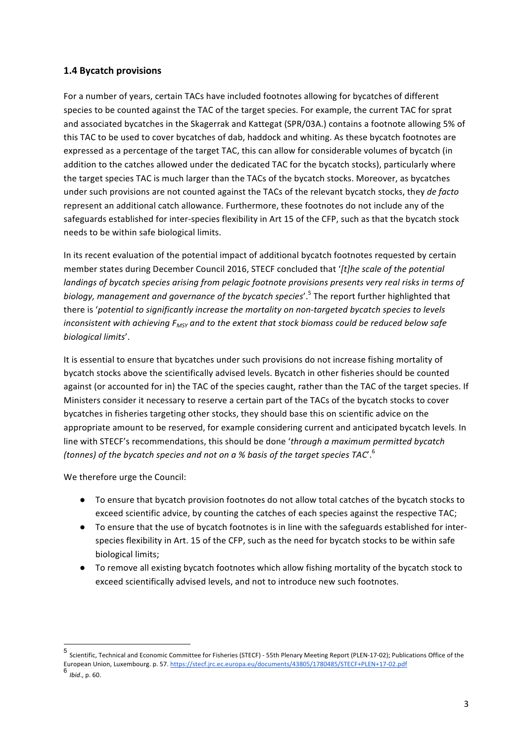#### **1.4 Bycatch provisions**

For a number of vears, certain TACs have included footnotes allowing for bycatches of different species to be counted against the TAC of the target species. For example, the current TAC for sprat and associated bycatches in the Skagerrak and Kattegat (SPR/03A.) contains a footnote allowing 5% of this TAC to be used to cover bycatches of dab, haddock and whiting. As these bycatch footnotes are expressed as a percentage of the target TAC, this can allow for considerable volumes of bycatch (in addition to the catches allowed under the dedicated TAC for the bycatch stocks), particularly where the target species TAC is much larger than the TACs of the bycatch stocks. Moreover, as bycatches under such provisions are not counted against the TACs of the relevant bycatch stocks, they *de facto* represent an additional catch allowance. Furthermore, these footnotes do not include any of the safeguards established for inter-species flexibility in Art 15 of the CFP, such as that the bycatch stock needs to be within safe biological limits.

In its recent evaluation of the potential impact of additional bycatch footnotes requested by certain member states during December Council 2016, STECF concluded that '[t]he scale of the potential *landings of bycatch species arising from pelagic footnote provisions presents very real risks in terms of biology, management and governance of the bycatch species'.*<sup>5</sup> The report further highlighted that there is 'potential to significantly increase the mortality on non-targeted bycatch species to levels *inconsistent* with achieving  $F_{MSV}$  and to the extent that stock biomass could be reduced below safe *biological limits*'.

It is essential to ensure that bycatches under such provisions do not increase fishing mortality of bycatch stocks above the scientifically advised levels. Bycatch in other fisheries should be counted against (or accounted for in) the TAC of the species caught, rather than the TAC of the target species. If Ministers consider it necessary to reserve a certain part of the TACs of the bycatch stocks to cover bycatches in fisheries targeting other stocks, they should base this on scientific advice on the appropriate amount to be reserved, for example considering current and anticipated bycatch levels. In line with STECF's recommendations, this should be done 'through a maximum permitted bycatch *(tonnes)* of the bycatch species and not on a % basis of the target species TAC'.<sup>6</sup>

We therefore urge the Council:

- To ensure that bycatch provision footnotes do not allow total catches of the bycatch stocks to exceed scientific advice, by counting the catches of each species against the respective TAC;
- To ensure that the use of bycatch footnotes is in line with the safeguards established for interspecies flexibility in Art. 15 of the CFP, such as the need for bycatch stocks to be within safe biological limits;
- To remove all existing bycatch footnotes which allow fishing mortality of the bycatch stock to exceed scientifically advised levels, and not to introduce new such footnotes.

 $^5$  Scientific, Technical and Economic Committee for Fisheries (STECF) - 55th Plenary Meeting Report (PLEN-17-02); Publications Office of the European Union, Luxembourg. p. 57. https://stecf.jrc.ec.europa.eu/documents/43805/1780485/STECF+PLEN+17-02.pdf <sup>6</sup> *Ibid*., p. 60.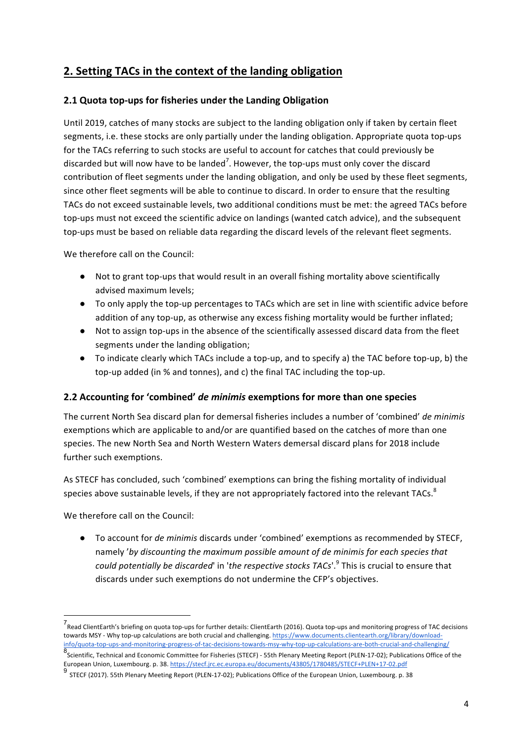# **2. Setting TACs in the context of the landing obligation**

### **2.1 Quota top-ups for fisheries under the Landing Obligation**

Until 2019, catches of many stocks are subject to the landing obligation only if taken by certain fleet segments, i.e. these stocks are only partially under the landing obligation. Appropriate quota top-ups for the TACs referring to such stocks are useful to account for catches that could previously be discarded but will now have to be landed<sup>7</sup>. However, the top-ups must only cover the discard contribution of fleet segments under the landing obligation, and only be used by these fleet segments, since other fleet segments will be able to continue to discard. In order to ensure that the resulting TACs do not exceed sustainable levels, two additional conditions must be met: the agreed TACs before top-ups must not exceed the scientific advice on landings (wanted catch advice), and the subsequent top-ups must be based on reliable data regarding the discard levels of the relevant fleet segments.

We therefore call on the Council:

- Not to grant top-ups that would result in an overall fishing mortality above scientifically advised maximum levels:
- To only apply the top-up percentages to TACs which are set in line with scientific advice before addition of any top-up, as otherwise any excess fishing mortality would be further inflated;
- Not to assign top-ups in the absence of the scientifically assessed discard data from the fleet segments under the landing obligation;
- To indicate clearly which TACs include a top-up, and to specify a) the TAC before top-up, b) the top-up added (in % and tonnes), and c) the final TAC including the top-up.

### **2.2** Accounting for 'combined' *de minimis* exemptions for more than one species

The current North Sea discard plan for demersal fisheries includes a number of 'combined' *de minimis* exemptions which are applicable to and/or are quantified based on the catches of more than one species. The new North Sea and North Western Waters demersal discard plans for 2018 include further such exemptions.

As STECF has concluded, such 'combined' exemptions can bring the fishing mortality of individual species above sustainable levels, if they are not appropriately factored into the relevant TACs.<sup>8</sup>

We therefore call on the Council:

● To account for *de minimis* discards under 'combined' exemptions as recommended by STECF. namely '*by discounting the maximum possible amount of de minimis for each species that could potentially be discarded*' in '*the respective stocks TACs*'.<sup>9</sup> This is crucial to ensure that discards under such exemptions do not undermine the CFP's objectives.

 <sup>7</sup> Read ClientEarth's briefing on quota top-ups for further details: ClientEarth (2016). Quota top-ups and monitoring progress of TAC decisions towards MSY - Why top-up calculations are both crucial and challenging. https://www.documents.clientearth.org/library/downloadinfo/quota-top-ups-and-monitoring-progress-of-tac-decisions-towards-msy-why-top-up-calculations-are-both-crucial-and-challenging/ 8<br>Scientific, Technical and Economic Committee for Fisheries (STECF) - 55th Plenary Meeting Report (PLEN-17-02); Publications Office of the European Union, Luxembourg. p. 38. https://stecf.jrc.ec.europa.eu/documents/43805/1780485/STECF+PLEN+17-02.pdf

 $^9$  STECF (2017). 55th Plenary Meeting Report (PLEN-17-02); Publications Office of the European Union, Luxembourg. p. 38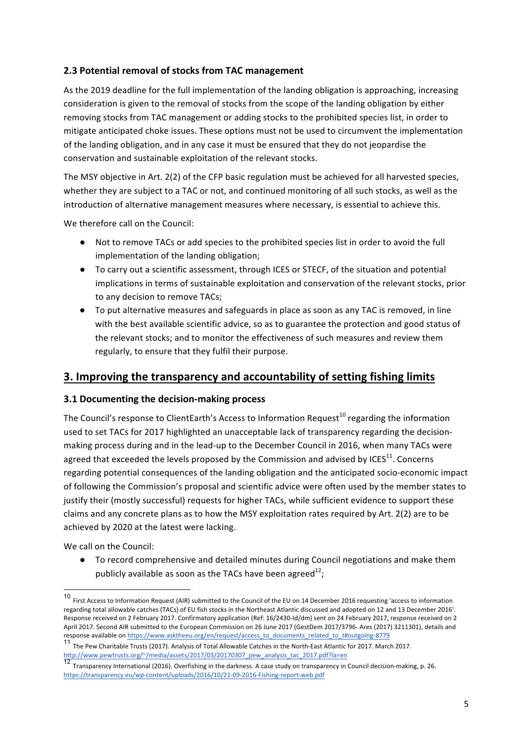### **2.3 Potential removal of stocks from TAC management**

As the 2019 deadline for the full implementation of the landing obligation is approaching, increasing consideration is given to the removal of stocks from the scope of the landing obligation by either removing stocks from TAC management or adding stocks to the prohibited species list, in order to mitigate anticipated choke issues. These options must not be used to circumvent the implementation of the landing obligation, and in any case it must be ensured that they do not jeopardise the conservation and sustainable exploitation of the relevant stocks.

The MSY objective in Art. 2(2) of the CFP basic regulation must be achieved for all harvested species, whether they are subject to a TAC or not, and continued monitoring of all such stocks, as well as the introduction of alternative management measures where necessary, is essential to achieve this.

We therefore call on the Council:

- Not to remove TACs or add species to the prohibited species list in order to avoid the full implementation of the landing obligation;
- To carry out a scientific assessment, through ICES or STECF, of the situation and potential implications in terms of sustainable exploitation and conservation of the relevant stocks, prior to any decision to remove TACs:
- To put alternative measures and safeguards in place as soon as any TAC is removed, in line with the best available scientific advice, so as to guarantee the protection and good status of the relevant stocks; and to monitor the effectiveness of such measures and review them regularly, to ensure that they fulfil their purpose.

# **3. Improving the transparency and accountability of setting fishing limits**

#### **3.1 Documenting the decision-making process**

The Council's response to ClientEarth's Access to Information Request<sup>10</sup> regarding the information used to set TACs for 2017 highlighted an unacceptable lack of transparency regarding the decisionmaking process during and in the lead-up to the December Council in 2016, when many TACs were agreed that exceeded the levels proposed by the Commission and advised by ICES $^{11}$ . Concerns regarding potential consequences of the landing obligation and the anticipated socio-economic impact of following the Commission's proposal and scientific advice were often used by the member states to justify their (mostly successful) requests for higher TACs, while sufficient evidence to support these claims and any concrete plans as to how the MSY exploitation rates required by Art. 2(2) are to be achieved by 2020 at the latest were lacking.

We call on the Council:

• To record comprehensive and detailed minutes during Council negotiations and make them publicly available as soon as the TACs have been agreed<sup>12</sup>;

<sup>10</sup> First Access to Information Request (AIR) submitted to the Council of the EU on 14 December 2016 requesting 'access to information regarding total allowable catches (TACs) of EU fish stocks in the Northeast Atlantic discussed and adopted on 12 and 13 December 2016'. Response received on 2 February 2017. Confirmatory application (Ref: 16/2430-Id/dm) sent on 24 February 2017, response received on 2 April 2017. Second AIR submitted to the European Commission on 26 June 2017 (GestDem 2017/3796- Ares (2017) 3211301), details and response available on https://www.asktheeu.org/en/request/access\_to\_documents\_related\_to\_t#outgoing-8779

<sup>&</sup>lt;sup>11</sup> The Pew Charitable Trusts (2017). Analysis of Total Allowable Catches in the North-East Atlantic for 2017. March 2017. http://www.pewtrusts.org/~/media/assets/2017/03/20170307\_pew\_analysis\_tac\_2017.pdf?la=en

 $\overline{12}$  Transparency International (2016). Overfishing in the darkness. A case study on transparency in Council decision-making, p. 26. https://transparency.eu/wp-content/uploads/2016/10/21-09-2016-Fishing-report-web.pdf